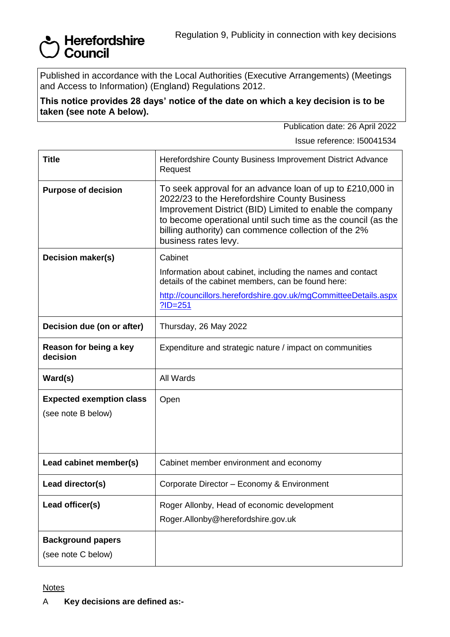## Supervertordshire<br>Supervertordshire

Published in accordance with the Local Authorities (Executive Arrangements) (Meetings and Access to Information) (England) Regulations 2012.

**This notice provides 28 days' notice of the date on which a key decision is to be taken (see note A below).**

Publication date: 26 April 2022

Issue reference: I50041534

| <b>Title</b>                                          | Herefordshire County Business Improvement District Advance<br>Request                                                                                                                                                                                                                                                 |
|-------------------------------------------------------|-----------------------------------------------------------------------------------------------------------------------------------------------------------------------------------------------------------------------------------------------------------------------------------------------------------------------|
| <b>Purpose of decision</b>                            | To seek approval for an advance loan of up to £210,000 in<br>2022/23 to the Herefordshire County Business<br>Improvement District (BID) Limited to enable the company<br>to become operational until such time as the council (as the<br>billing authority) can commence collection of the 2%<br>business rates levy. |
| Decision maker(s)                                     | Cabinet                                                                                                                                                                                                                                                                                                               |
|                                                       | Information about cabinet, including the names and contact<br>details of the cabinet members, can be found here:                                                                                                                                                                                                      |
|                                                       | http://councillors.herefordshire.gov.uk/mgCommitteeDetails.aspx<br>$?ID = 251$                                                                                                                                                                                                                                        |
| Decision due (on or after)                            | Thursday, 26 May 2022                                                                                                                                                                                                                                                                                                 |
| Reason for being a key<br>decision                    | Expenditure and strategic nature / impact on communities                                                                                                                                                                                                                                                              |
| Ward(s)                                               | All Wards                                                                                                                                                                                                                                                                                                             |
| <b>Expected exemption class</b><br>(see note B below) | Open                                                                                                                                                                                                                                                                                                                  |
| Lead cabinet member(s)                                | Cabinet member environment and economy                                                                                                                                                                                                                                                                                |
| Lead director(s)                                      | Corporate Director - Economy & Environment                                                                                                                                                                                                                                                                            |
| Lead officer(s)                                       | Roger Allonby, Head of economic development<br>Roger.Allonby@herefordshire.gov.uk                                                                                                                                                                                                                                     |
| <b>Background papers</b>                              |                                                                                                                                                                                                                                                                                                                       |
| (see note C below)                                    |                                                                                                                                                                                                                                                                                                                       |

## **Notes**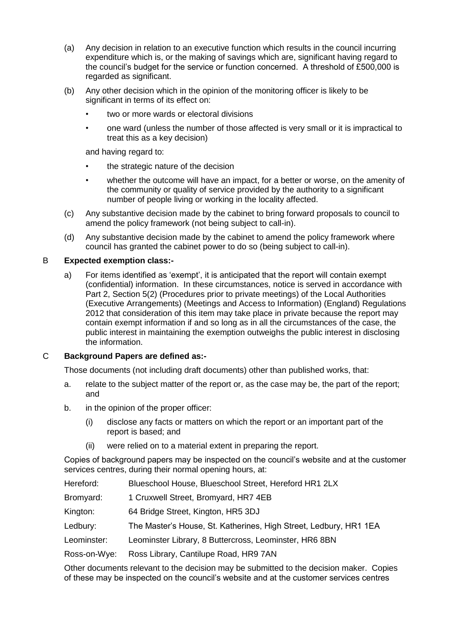- (a) Any decision in relation to an executive function which results in the council incurring expenditure which is, or the making of savings which are, significant having regard to the council's budget for the service or function concerned. A threshold of £500,000 is regarded as significant.
- (b) Any other decision which in the opinion of the monitoring officer is likely to be significant in terms of its effect on:
	- two or more wards or electoral divisions
	- one ward (unless the number of those affected is very small or it is impractical to treat this as a key decision)

and having regard to:

- the strategic nature of the decision
- whether the outcome will have an impact, for a better or worse, on the amenity of the community or quality of service provided by the authority to a significant number of people living or working in the locality affected.
- (c) Any substantive decision made by the cabinet to bring forward proposals to council to amend the policy framework (not being subject to call-in).
- (d) Any substantive decision made by the cabinet to amend the policy framework where council has granted the cabinet power to do so (being subject to call-in).

## B **Expected exemption class:-**

a) For items identified as 'exempt', it is anticipated that the report will contain exempt (confidential) information. In these circumstances, notice is served in accordance with Part 2, Section 5(2) (Procedures prior to private meetings) of the Local Authorities (Executive Arrangements) (Meetings and Access to Information) (England) Regulations 2012 that consideration of this item may take place in private because the report may contain exempt information if and so long as in all the circumstances of the case, the public interest in maintaining the exemption outweighs the public interest in disclosing the information.

## C **Background Papers are defined as:-**

Those documents (not including draft documents) other than published works, that:

- a. relate to the subject matter of the report or, as the case may be, the part of the report; and
- b. in the opinion of the proper officer:
	- (i) disclose any facts or matters on which the report or an important part of the report is based; and
	- (ii) were relied on to a material extent in preparing the report.

Copies of background papers may be inspected on the council's website and at the customer services centres, during their normal opening hours, at:

Hereford: Blueschool House, Blueschool Street, Hereford HR1 2LX

- Bromyard: 1 Cruxwell Street, Bromyard, HR7 4EB
- Kington: 64 Bridge Street, Kington, HR5 3DJ
- Ledbury: The Master's House, St. Katherines, High Street, Ledbury, HR1 1EA
- Leominster: Leominster Library, 8 Buttercross, Leominster, HR6 8BN

Ross-on-Wye: Ross Library, Cantilupe Road, HR9 7AN

Other documents relevant to the decision may be submitted to the decision maker. Copies of these may be inspected on the council's website and at the customer services centres